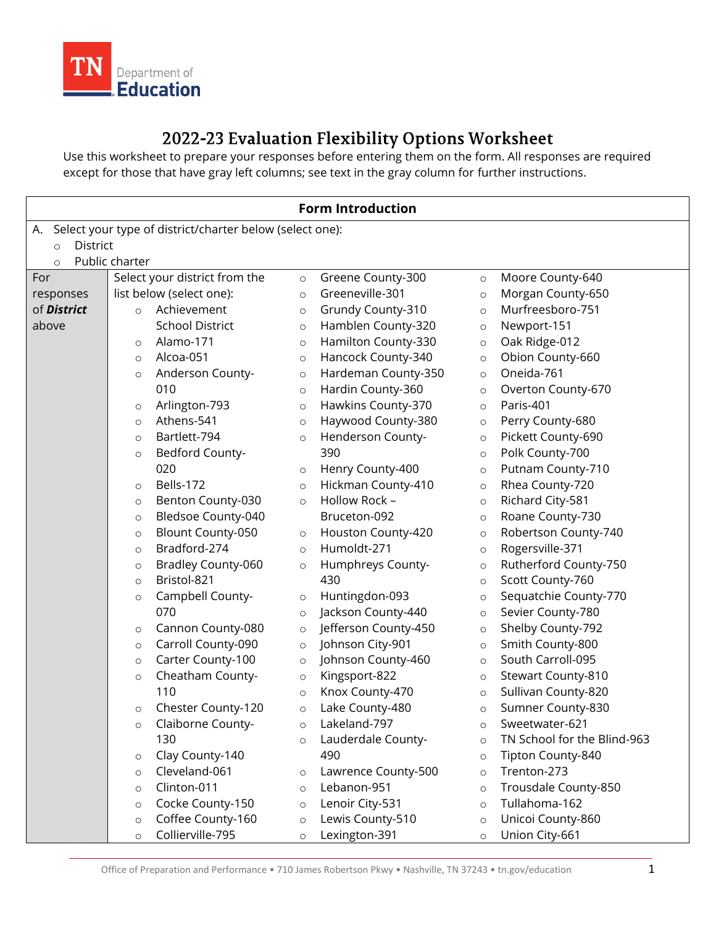

2022-23 Evaluation Flexibility Options Worksheet<br>Use this worksheet to prepare your responses before entering them on the form. All responses are required except for those that have gray left columns; see text in the gray column for further instructions.

|                                                                |                |                               |         | <b>Form Introduction</b> |         |                             |
|----------------------------------------------------------------|----------------|-------------------------------|---------|--------------------------|---------|-----------------------------|
| Select your type of district/charter below (select one):<br>А. |                |                               |         |                          |         |                             |
| <b>District</b><br>$\circ$                                     |                |                               |         |                          |         |                             |
| $\circ$                                                        | Public charter |                               |         |                          |         |                             |
| For                                                            |                | Select your district from the | $\circ$ | Greene County-300        | $\circ$ | Moore County-640            |
| responses                                                      |                | list below (select one):      | $\circ$ | Greeneville-301          | $\circ$ | Morgan County-650           |
| of <b>District</b>                                             | $\circ$        | Achievement                   | $\circ$ | Grundy County-310        | $\circ$ | Murfreesboro-751            |
| above                                                          |                | <b>School District</b>        | $\circ$ | Hamblen County-320       | $\circ$ | Newport-151                 |
|                                                                | $\circ$        | Alamo-171                     | $\circ$ | Hamilton County-330      | $\circ$ | Oak Ridge-012               |
|                                                                | $\circ$        | Alcoa-051                     | $\circ$ | Hancock County-340       | $\circ$ | Obion County-660            |
|                                                                | $\circ$        | Anderson County-              | $\circ$ | Hardeman County-350      | $\circ$ | Oneida-761                  |
|                                                                |                | 010                           | $\circ$ | Hardin County-360        | $\circ$ | Overton County-670          |
|                                                                | $\circ$        | Arlington-793                 | $\circ$ | Hawkins County-370       | $\circ$ | Paris-401                   |
|                                                                | $\circ$        | Athens-541                    | $\circ$ | Haywood County-380       | $\circ$ | Perry County-680            |
|                                                                | $\circ$        | Bartlett-794                  | $\circ$ | Henderson County-        | $\circ$ | Pickett County-690          |
|                                                                | $\circ$        | Bedford County-               |         | 390                      | $\circ$ | Polk County-700             |
|                                                                |                | 020                           | $\circ$ | Henry County-400         | $\circ$ | Putnam County-710           |
|                                                                | $\circ$        | Bells-172                     | $\circ$ | Hickman County-410       | $\circ$ | Rhea County-720             |
|                                                                | $\circ$        | Benton County-030             | $\circ$ | Hollow Rock -            | $\circ$ | Richard City-581            |
|                                                                | $\circ$        | <b>Bledsoe County-040</b>     |         | Bruceton-092             | $\circ$ | Roane County-730            |
|                                                                | $\circ$        | Blount County-050             | $\circ$ | Houston County-420       | $\circ$ | Robertson County-740        |
|                                                                | $\circ$        | Bradford-274                  | $\circ$ | Humoldt-271              | $\circ$ | Rogersville-371             |
|                                                                | $\circ$        | Bradley County-060            | $\circ$ | Humphreys County-        | $\circ$ | Rutherford County-750       |
|                                                                | $\circ$        | Bristol-821                   |         | 430                      | $\circ$ | Scott County-760            |
|                                                                | $\circ$        | Campbell County-              | $\circ$ | Huntingdon-093           | $\circ$ | Sequatchie County-770       |
|                                                                |                | 070                           | $\circ$ | Jackson County-440       | $\circ$ | Sevier County-780           |
|                                                                | $\circ$        | Cannon County-080             | $\circ$ | Jefferson County-450     | $\circ$ | Shelby County-792           |
|                                                                | $\circ$        | Carroll County-090            | $\circ$ | Johnson City-901         | $\circ$ | Smith County-800            |
|                                                                | $\circ$        | Carter County-100             | $\circ$ | Johnson County-460       | $\circ$ | South Carroll-095           |
|                                                                | $\circ$        | Cheatham County-              | $\circ$ | Kingsport-822            | $\circ$ | Stewart County-810          |
|                                                                |                | 110                           | $\circ$ | Knox County-470          | $\circ$ | Sullivan County-820         |
|                                                                | $\circ$        | Chester County-120            | $\circ$ | Lake County-480          | $\circ$ | Sumner County-830           |
|                                                                | $\circ$        | Claiborne County-             | $\circ$ | Lakeland-797             | $\circ$ | Sweetwater-621              |
|                                                                |                | 130                           | $\circ$ | Lauderdale County-       | $\circ$ | TN School for the Blind-963 |
|                                                                | $\circ$        | Clay County-140               |         | 490                      | $\circ$ | Tipton County-840           |
|                                                                | $\circ$        | Cleveland-061                 | $\circ$ | Lawrence County-500      | $\circ$ | Trenton-273                 |
|                                                                | $\circ$        | Clinton-011                   | $\circ$ | Lebanon-951              | $\circ$ | Trousdale County-850        |
|                                                                | $\circ$        | Cocke County-150              | $\circ$ | Lenoir City-531          | $\circ$ | Tullahoma-162               |
|                                                                | $\circ$        | Coffee County-160             | $\circ$ | Lewis County-510         | $\circ$ | Unicoi County-860           |
|                                                                | $\circ$        | Collierville-795              | $\circ$ | Lexington-391            | $\circ$ | Union City-661              |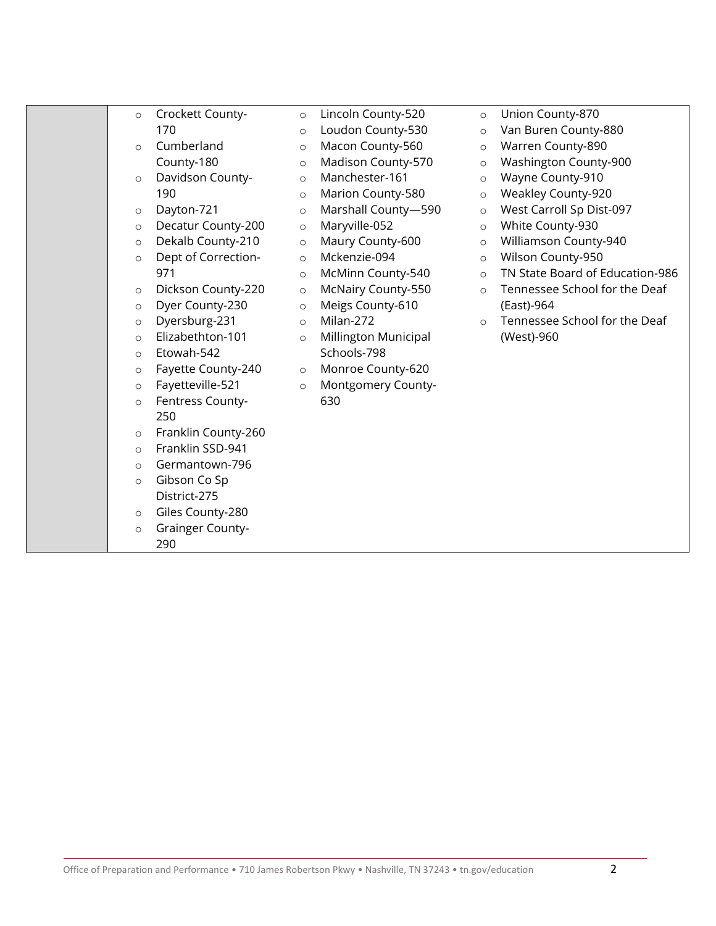| $\circ$  | Crockett County-        | $\circ$ | Lincoln County-520        | $\circ$  | Union County-870                |
|----------|-------------------------|---------|---------------------------|----------|---------------------------------|
|          | 170                     | $\circ$ | Loudon County-530         | $\circ$  | Van Buren County-880            |
| $\circ$  | Cumberland              | $\circ$ | Macon County-560          | $\circ$  | Warren County-890               |
|          | County-180              | $\circ$ | Madison County-570        | $\circ$  | Washington County-900           |
| $\circ$  | Davidson County-        | $\circ$ | Manchester-161            | $\circ$  | Wayne County-910                |
|          | 190                     | $\circ$ | Marion County-580         | $\circ$  | <b>Weakley County-920</b>       |
| $\circ$  | Dayton-721              | $\circ$ | Marshall County-590       | $\circ$  | West Carroll Sp Dist-097        |
| $\circ$  | Decatur County-200      | $\circ$ | Maryville-052             | $\circ$  | White County-930                |
| $\circ$  | Dekalb County-210       | $\circ$ | Maury County-600          | $\circ$  | Williamson County-940           |
| $\circ$  | Dept of Correction-     | $\circ$ | Mckenzie-094              | $\circ$  | Wilson County-950               |
|          | 971                     | $\circ$ | McMinn County-540         | $\circ$  | TN State Board of Education-986 |
| $\circ$  | Dickson County-220      | $\circ$ | <b>McNairy County-550</b> | $\circ$  | Tennessee School for the Deaf   |
| $\circ$  | Dyer County-230         | $\circ$ | Meigs County-610          |          | (East)-964                      |
| $\circ$  | Dyersburg-231           | $\circ$ | Milan-272                 | $\Omega$ | Tennessee School for the Deaf   |
| $\circ$  | Elizabethton-101        | $\circ$ | Millington Municipal      |          | (West)-960                      |
| $\circ$  | Etowah-542              |         | Schools-798               |          |                                 |
| $\circ$  | Fayette County-240      | $\circ$ | Monroe County-620         |          |                                 |
| $\circ$  | Fayetteville-521        | $\circ$ | <b>Montgomery County-</b> |          |                                 |
| $\circ$  | Fentress County-        |         | 630                       |          |                                 |
|          | 250                     |         |                           |          |                                 |
| $\circ$  | Franklin County-260     |         |                           |          |                                 |
| $\Omega$ | Franklin SSD-941        |         |                           |          |                                 |
| $\circ$  | Germantown-796          |         |                           |          |                                 |
| $\circ$  | Gibson Co Sp            |         |                           |          |                                 |
|          | District-275            |         |                           |          |                                 |
| $\circ$  | Giles County-280        |         |                           |          |                                 |
| $\circ$  | <b>Grainger County-</b> |         |                           |          |                                 |
|          | 290                     |         |                           |          |                                 |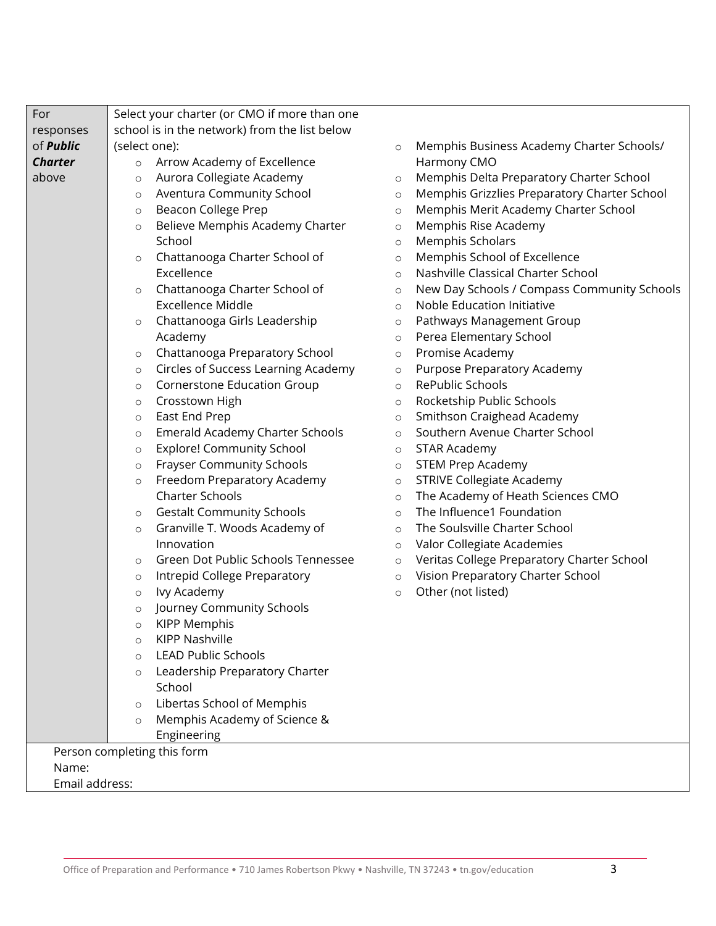| For              | Select your charter (or CMO if more than one      |                                                         |
|------------------|---------------------------------------------------|---------------------------------------------------------|
| responses        | school is in the network) from the list below     |                                                         |
| of <b>Public</b> | (select one):                                     | Memphis Business Academy Charter Schools/<br>$\circ$    |
| <b>Charter</b>   | Arrow Academy of Excellence<br>$\circ$            | Harmony CMO                                             |
| above            | Aurora Collegiate Academy<br>$\circ$              | Memphis Delta Preparatory Charter School<br>$\circ$     |
|                  | Aventura Community School<br>$\circ$              | Memphis Grizzlies Preparatory Charter School<br>$\circ$ |
|                  | <b>Beacon College Prep</b><br>$\circ$             | Memphis Merit Academy Charter School<br>$\circ$         |
|                  | Believe Memphis Academy Charter<br>$\circ$        | Memphis Rise Academy<br>$\circ$                         |
|                  | School                                            | <b>Memphis Scholars</b><br>$\circ$                      |
|                  | Chattanooga Charter School of<br>$\circ$          | Memphis School of Excellence<br>$\circ$                 |
|                  | Excellence                                        | Nashville Classical Charter School<br>$\circ$           |
|                  | Chattanooga Charter School of<br>$\circ$          | New Day Schools / Compass Community Schools<br>$\circ$  |
|                  | <b>Excellence Middle</b>                          | Noble Education Initiative<br>$\circ$                   |
|                  | Chattanooga Girls Leadership<br>$\circ$           | Pathways Management Group<br>$\circ$                    |
|                  | Academy                                           | Perea Elementary School<br>$\circ$                      |
|                  | Chattanooga Preparatory School<br>$\circ$         | Promise Academy<br>$\circ$                              |
|                  | Circles of Success Learning Academy<br>$\circ$    | Purpose Preparatory Academy<br>$\circ$                  |
|                  | <b>Cornerstone Education Group</b><br>$\circ$     | RePublic Schools<br>$\circ$                             |
|                  | Crosstown High<br>$\circ$                         | Rocketship Public Schools<br>$\circ$                    |
|                  | East End Prep<br>$\circ$                          | Smithson Craighead Academy<br>$\circ$                   |
|                  | <b>Emerald Academy Charter Schools</b><br>$\circ$ | Southern Avenue Charter School<br>$\circ$               |
|                  | <b>Explore! Community School</b><br>$\circ$       | <b>STAR Academy</b><br>$\circ$                          |
|                  | <b>Frayser Community Schools</b><br>$\circ$       | <b>STEM Prep Academy</b><br>$\circ$                     |
|                  | Freedom Preparatory Academy<br>$\circ$            | <b>STRIVE Collegiate Academy</b><br>$\circ$             |
|                  | <b>Charter Schools</b>                            | The Academy of Heath Sciences CMO<br>$\circ$            |
|                  | <b>Gestalt Community Schools</b><br>$\circ$       | The Influence1 Foundation<br>$\circ$                    |
|                  | Granville T. Woods Academy of<br>$\circ$          | The Soulsville Charter School<br>$\circ$                |
|                  | Innovation                                        | Valor Collegiate Academies<br>$\circ$                   |
|                  | Green Dot Public Schools Tennessee<br>$\circ$     | Veritas College Preparatory Charter School<br>$\circ$   |
|                  | Intrepid College Preparatory<br>$\circ$           | Vision Preparatory Charter School<br>$\circ$            |
|                  | Ivy Academy<br>$\circ$                            | Other (not listed)<br>$\circ$                           |
|                  | Journey Community Schools<br>$\circ$              |                                                         |
|                  | <b>KIPP Memphis</b><br>$\circ$                    |                                                         |
|                  | <b>KIPP Nashville</b><br>$\circ$                  |                                                         |
|                  | <b>LEAD Public Schools</b><br>$\circ$             |                                                         |
|                  | Leadership Preparatory Charter<br>$\circ$         |                                                         |
|                  | School                                            |                                                         |
|                  | Libertas School of Memphis<br>$\circ$             |                                                         |
|                  | Memphis Academy of Science &<br>$\circ$           |                                                         |
|                  | Engineering                                       |                                                         |
|                  | Person completing this form                       |                                                         |
| Name:            |                                                   |                                                         |
| Email address:   |                                                   |                                                         |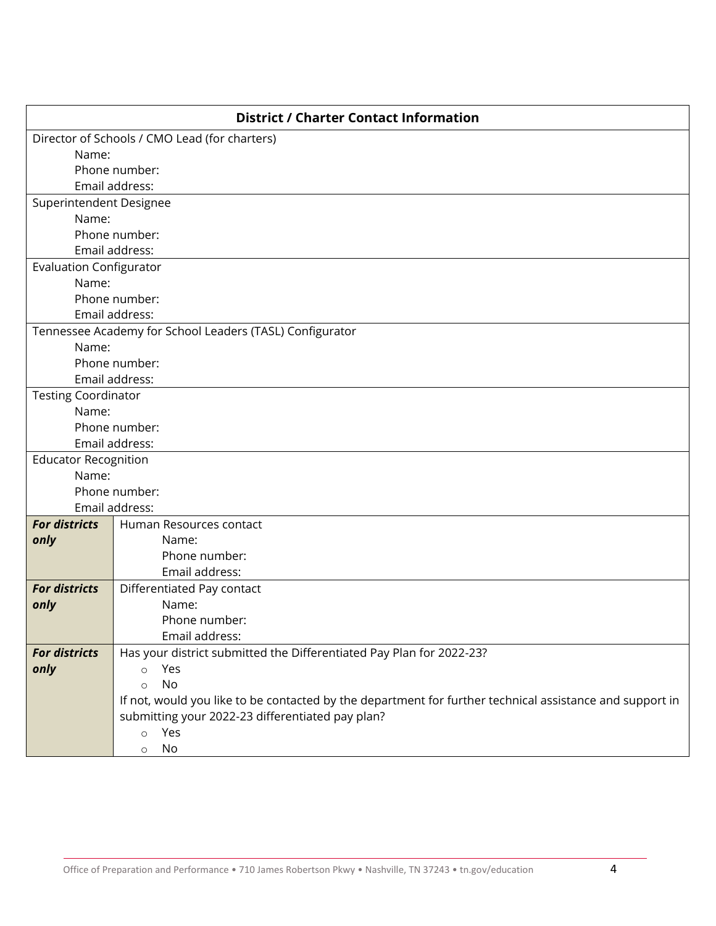|                                | <b>District / Charter Contact Information</b>                                                            |  |  |  |
|--------------------------------|----------------------------------------------------------------------------------------------------------|--|--|--|
|                                | Director of Schools / CMO Lead (for charters)                                                            |  |  |  |
| Name:                          |                                                                                                          |  |  |  |
|                                | Phone number:                                                                                            |  |  |  |
|                                | Email address:                                                                                           |  |  |  |
| Superintendent Designee        |                                                                                                          |  |  |  |
| Name:                          |                                                                                                          |  |  |  |
|                                | Phone number:                                                                                            |  |  |  |
|                                | Email address:                                                                                           |  |  |  |
| <b>Evaluation Configurator</b> |                                                                                                          |  |  |  |
| Name:                          |                                                                                                          |  |  |  |
|                                | Phone number:<br>Email address:                                                                          |  |  |  |
|                                | Tennessee Academy for School Leaders (TASL) Configurator                                                 |  |  |  |
| Name:                          |                                                                                                          |  |  |  |
|                                | Phone number:                                                                                            |  |  |  |
|                                | Email address:                                                                                           |  |  |  |
| <b>Testing Coordinator</b>     |                                                                                                          |  |  |  |
| Name:                          |                                                                                                          |  |  |  |
|                                | Phone number:                                                                                            |  |  |  |
|                                | Email address:                                                                                           |  |  |  |
| <b>Educator Recognition</b>    |                                                                                                          |  |  |  |
| Name:                          |                                                                                                          |  |  |  |
|                                | Phone number:                                                                                            |  |  |  |
|                                | Email address:                                                                                           |  |  |  |
| <b>For districts</b>           | Human Resources contact                                                                                  |  |  |  |
| only                           | Name:                                                                                                    |  |  |  |
|                                | Phone number:                                                                                            |  |  |  |
|                                | Email address:                                                                                           |  |  |  |
| <b>For districts</b>           | Differentiated Pay contact                                                                               |  |  |  |
| only                           | Name:                                                                                                    |  |  |  |
|                                | Phone number:                                                                                            |  |  |  |
|                                | Email address:                                                                                           |  |  |  |
| <b>For districts</b>           | Has your district submitted the Differentiated Pay Plan for 2022-23?                                     |  |  |  |
| only                           | Yes<br>$\circ$                                                                                           |  |  |  |
|                                | No<br>$\circ$                                                                                            |  |  |  |
|                                | If not, would you like to be contacted by the department for further technical assistance and support in |  |  |  |
|                                | submitting your 2022-23 differentiated pay plan?                                                         |  |  |  |
|                                |                                                                                                          |  |  |  |
|                                | Yes<br>$\circ$<br>No<br>$\circ$                                                                          |  |  |  |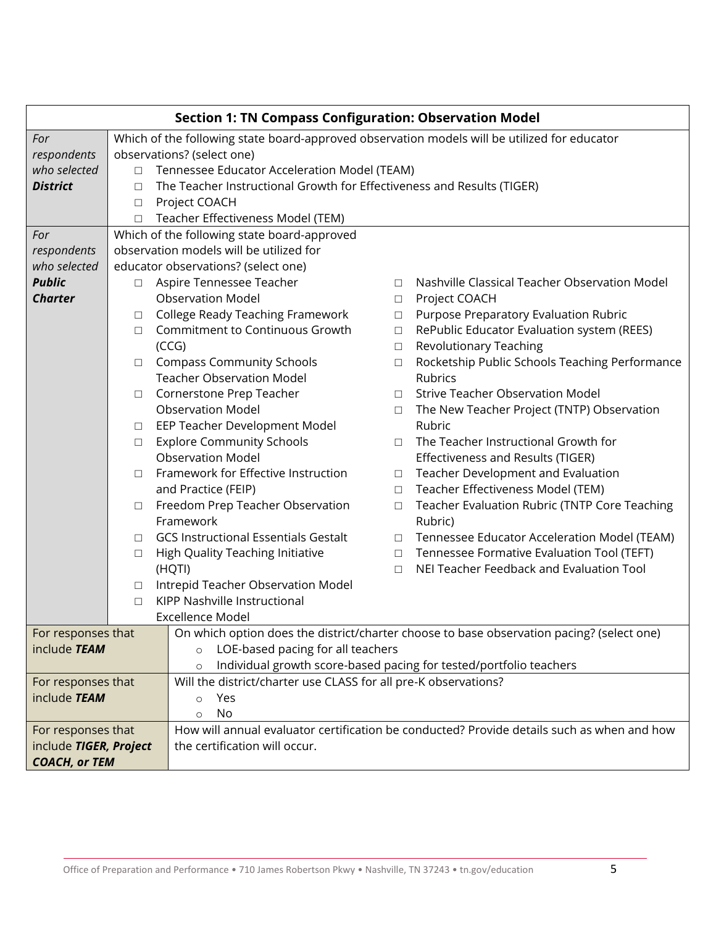|                        |                                                                                              | <b>Section 1: TN Compass Configuration: Observation Model</b>          |                                                                 |                                                                                            |  |  |
|------------------------|----------------------------------------------------------------------------------------------|------------------------------------------------------------------------|-----------------------------------------------------------------|--------------------------------------------------------------------------------------------|--|--|
| For                    | Which of the following state board-approved observation models will be utilized for educator |                                                                        |                                                                 |                                                                                            |  |  |
| respondents            |                                                                                              | observations? (select one)                                             |                                                                 |                                                                                            |  |  |
| who selected           | $\Box$                                                                                       | Tennessee Educator Acceleration Model (TEAM)                           |                                                                 |                                                                                            |  |  |
| <b>District</b>        | $\Box$                                                                                       | The Teacher Instructional Growth for Effectiveness and Results (TIGER) |                                                                 |                                                                                            |  |  |
|                        | $\Box$                                                                                       | Project COACH                                                          |                                                                 |                                                                                            |  |  |
|                        | П                                                                                            | Teacher Effectiveness Model (TEM)                                      |                                                                 |                                                                                            |  |  |
| For                    |                                                                                              | Which of the following state board-approved                            |                                                                 |                                                                                            |  |  |
| respondents            |                                                                                              | observation models will be utilized for                                |                                                                 |                                                                                            |  |  |
| who selected           |                                                                                              | educator observations? (select one)                                    |                                                                 |                                                                                            |  |  |
| <b>Public</b>          | $\Box$                                                                                       | Aspire Tennessee Teacher                                               | П                                                               | Nashville Classical Teacher Observation Model                                              |  |  |
| <b>Charter</b>         |                                                                                              | <b>Observation Model</b>                                               | $\Box$                                                          | Project COACH                                                                              |  |  |
|                        | □                                                                                            | <b>College Ready Teaching Framework</b>                                | $\Box$                                                          | Purpose Preparatory Evaluation Rubric                                                      |  |  |
|                        | П                                                                                            | Commitment to Continuous Growth                                        | $\Box$                                                          | RePublic Educator Evaluation system (REES)                                                 |  |  |
|                        |                                                                                              | (CCG)                                                                  | $\Box$                                                          | Revolutionary Teaching                                                                     |  |  |
|                        | □                                                                                            | <b>Compass Community Schools</b>                                       | $\Box$                                                          | Rocketship Public Schools Teaching Performance                                             |  |  |
|                        |                                                                                              | <b>Teacher Observation Model</b>                                       |                                                                 | Rubrics                                                                                    |  |  |
|                        | □                                                                                            | Cornerstone Prep Teacher                                               | П                                                               | <b>Strive Teacher Observation Model</b>                                                    |  |  |
|                        |                                                                                              | <b>Observation Model</b>                                               | $\Box$                                                          | The New Teacher Project (TNTP) Observation                                                 |  |  |
|                        | $\Box$                                                                                       | EEP Teacher Development Model                                          |                                                                 | Rubric                                                                                     |  |  |
|                        | $\Box$                                                                                       | <b>Explore Community Schools</b>                                       | $\Box$                                                          | The Teacher Instructional Growth for                                                       |  |  |
|                        |                                                                                              | <b>Observation Model</b>                                               |                                                                 | Effectiveness and Results (TIGER)                                                          |  |  |
|                        | П                                                                                            | Framework for Effective Instruction                                    | $\Box$                                                          | Teacher Development and Evaluation                                                         |  |  |
|                        |                                                                                              | and Practice (FEIP)                                                    | $\Box$                                                          | Teacher Effectiveness Model (TEM)                                                          |  |  |
|                        | $\Box$                                                                                       | Freedom Prep Teacher Observation<br>Framework                          | $\Box$                                                          | Teacher Evaluation Rubric (TNTP Core Teaching                                              |  |  |
|                        |                                                                                              | <b>GCS Instructional Essentials Gestalt</b>                            | $\Box$                                                          | Rubric)<br>Tennessee Educator Acceleration Model (TEAM)                                    |  |  |
|                        | □<br>$\Box$                                                                                  | High Quality Teaching Initiative                                       | $\Box$                                                          | Tennessee Formative Evaluation Tool (TEFT)                                                 |  |  |
|                        |                                                                                              | (HQTI)                                                                 | $\Box$                                                          | NEI Teacher Feedback and Evaluation Tool                                                   |  |  |
|                        | □                                                                                            | Intrepid Teacher Observation Model                                     |                                                                 |                                                                                            |  |  |
|                        | $\Box$                                                                                       | KIPP Nashville Instructional                                           |                                                                 |                                                                                            |  |  |
|                        |                                                                                              | Excellence Model                                                       |                                                                 |                                                                                            |  |  |
| For responses that     |                                                                                              |                                                                        |                                                                 | On which option does the district/charter choose to base observation pacing? (select one)  |  |  |
| include TEAM           |                                                                                              | LOE-based pacing for all teachers<br>$\circ$                           |                                                                 |                                                                                            |  |  |
|                        |                                                                                              | $\circ$                                                                |                                                                 | Individual growth score-based pacing for tested/portfolio teachers                         |  |  |
| For responses that     |                                                                                              |                                                                        | Will the district/charter use CLASS for all pre-K observations? |                                                                                            |  |  |
| include TEAM           |                                                                                              | Yes<br>$\circ$                                                         |                                                                 |                                                                                            |  |  |
|                        |                                                                                              | <b>No</b><br>$\circ$                                                   |                                                                 |                                                                                            |  |  |
| For responses that     |                                                                                              |                                                                        |                                                                 | How will annual evaluator certification be conducted? Provide details such as when and how |  |  |
| include TIGER, Project |                                                                                              | the certification will occur.                                          |                                                                 |                                                                                            |  |  |
| <b>COACH, or TEM</b>   |                                                                                              |                                                                        |                                                                 |                                                                                            |  |  |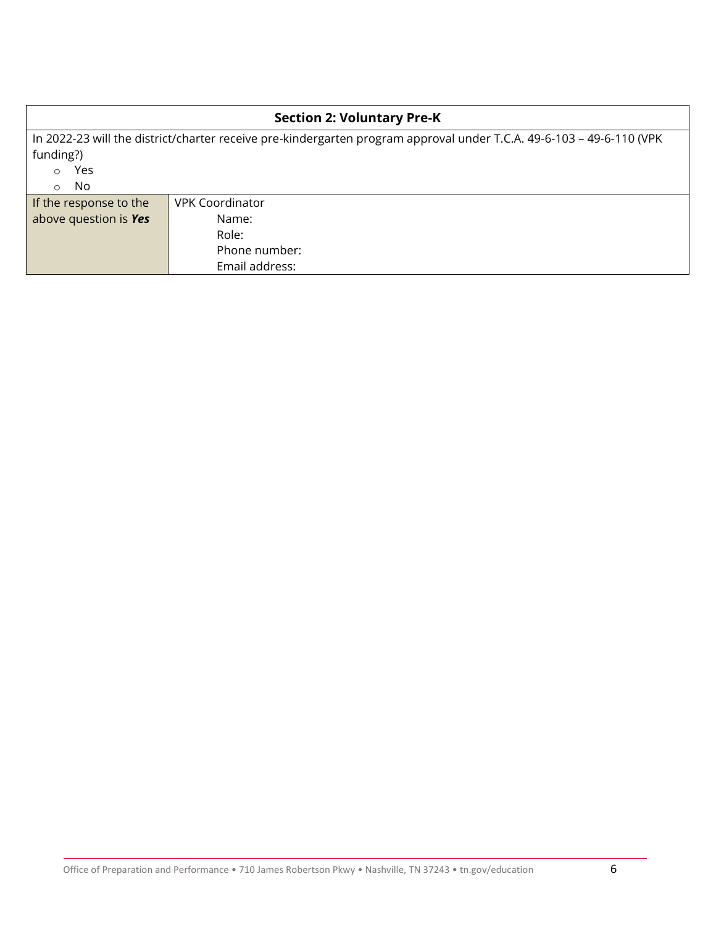| <b>Section 2: Voluntary Pre-K</b>                                                                                    |                        |  |  |
|----------------------------------------------------------------------------------------------------------------------|------------------------|--|--|
| In 2022-23 will the district/charter receive pre-kindergarten program approval under T.C.A. 49-6-103 - 49-6-110 (VPK |                        |  |  |
| funding?)                                                                                                            |                        |  |  |
| Yes<br>$\circ$                                                                                                       |                        |  |  |
| No<br>$\circ$                                                                                                        |                        |  |  |
| If the response to the                                                                                               | <b>VPK Coordinator</b> |  |  |
| above question is Yes                                                                                                | Name:                  |  |  |
|                                                                                                                      | Role:                  |  |  |
|                                                                                                                      | Phone number:          |  |  |
|                                                                                                                      | Email address:         |  |  |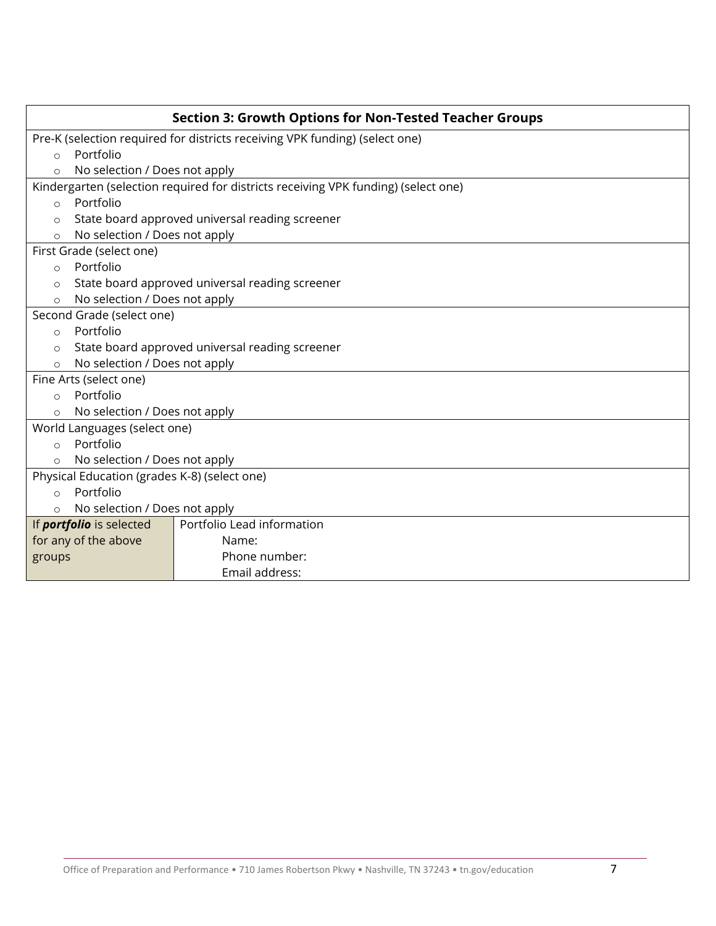|                                                                             | <b>Section 3: Growth Options for Non-Tested Teacher Groups</b>                     |  |  |
|-----------------------------------------------------------------------------|------------------------------------------------------------------------------------|--|--|
| Pre-K (selection required for districts receiving VPK funding) (select one) |                                                                                    |  |  |
| Portfolio<br>$\circ$                                                        |                                                                                    |  |  |
| No selection / Does not apply                                               |                                                                                    |  |  |
|                                                                             | Kindergarten (selection required for districts receiving VPK funding) (select one) |  |  |
| Portfolio<br>$\circ$                                                        |                                                                                    |  |  |
| $\circ$                                                                     | State board approved universal reading screener                                    |  |  |
| No selection / Does not apply<br>$\circ$                                    |                                                                                    |  |  |
| First Grade (select one)                                                    |                                                                                    |  |  |
| Portfolio<br>$\circ$                                                        |                                                                                    |  |  |
| $\circ$                                                                     | State board approved universal reading screener                                    |  |  |
| No selection / Does not apply<br>$\circ$                                    |                                                                                    |  |  |
| Second Grade (select one)                                                   |                                                                                    |  |  |
| Portfolio<br>$\Omega$                                                       |                                                                                    |  |  |
| $\circ$                                                                     | State board approved universal reading screener                                    |  |  |
| No selection / Does not apply<br>$\circ$                                    |                                                                                    |  |  |
| Fine Arts (select one)                                                      |                                                                                    |  |  |
| $\Omega$                                                                    | Portfolio                                                                          |  |  |
| $\Omega$                                                                    | No selection / Does not apply                                                      |  |  |
|                                                                             | World Languages (select one)                                                       |  |  |
| $\circ$                                                                     | Portfolio                                                                          |  |  |
| No selection / Does not apply<br>$\circ$                                    |                                                                                    |  |  |
| Physical Education (grades K-8) (select one)                                |                                                                                    |  |  |
| Portfolio<br>$\circ$                                                        |                                                                                    |  |  |
| No selection / Does not apply                                               |                                                                                    |  |  |
| If <i>portfolio</i> is selected                                             | Portfolio Lead information                                                         |  |  |
| for any of the above                                                        | Name:                                                                              |  |  |
| groups                                                                      | Phone number:                                                                      |  |  |
|                                                                             | Email address:                                                                     |  |  |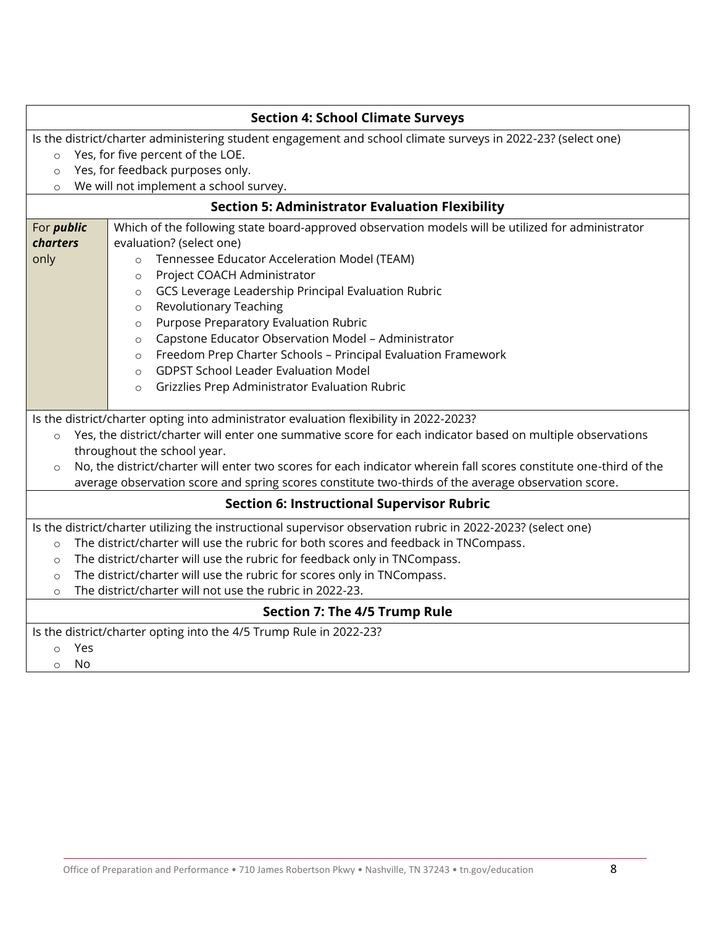|                                                                                                                              | <b>Section 4: School Climate Surveys</b>                                                                     |  |  |  |  |
|------------------------------------------------------------------------------------------------------------------------------|--------------------------------------------------------------------------------------------------------------|--|--|--|--|
| Is the district/charter administering student engagement and school climate surveys in 2022-23? (select one)                 |                                                                                                              |  |  |  |  |
| Yes, for five percent of the LOE.<br>$\circ$                                                                                 |                                                                                                              |  |  |  |  |
| $\circ$                                                                                                                      | Yes, for feedback purposes only.                                                                             |  |  |  |  |
| $\circ$                                                                                                                      | We will not implement a school survey.                                                                       |  |  |  |  |
|                                                                                                                              | <b>Section 5: Administrator Evaluation Flexibility</b>                                                       |  |  |  |  |
| For <i>public</i>                                                                                                            | Which of the following state board-approved observation models will be utilized for administrator            |  |  |  |  |
| <b>charters</b>                                                                                                              | evaluation? (select one)                                                                                     |  |  |  |  |
| only                                                                                                                         | Tennessee Educator Acceleration Model (TEAM)<br>$\circ$                                                      |  |  |  |  |
|                                                                                                                              | Project COACH Administrator<br>$\circ$                                                                       |  |  |  |  |
|                                                                                                                              | GCS Leverage Leadership Principal Evaluation Rubric<br>$\circ$                                               |  |  |  |  |
|                                                                                                                              | <b>Revolutionary Teaching</b><br>$\circ$                                                                     |  |  |  |  |
|                                                                                                                              | Purpose Preparatory Evaluation Rubric<br>$\circ$                                                             |  |  |  |  |
|                                                                                                                              | Capstone Educator Observation Model - Administrator<br>$\circ$                                               |  |  |  |  |
|                                                                                                                              | Freedom Prep Charter Schools - Principal Evaluation Framework<br>$\circ$                                     |  |  |  |  |
|                                                                                                                              | <b>GDPST School Leader Evaluation Model</b><br>$\Omega$                                                      |  |  |  |  |
|                                                                                                                              | Grizzlies Prep Administrator Evaluation Rubric<br>$\circ$                                                    |  |  |  |  |
|                                                                                                                              |                                                                                                              |  |  |  |  |
|                                                                                                                              | Is the district/charter opting into administrator evaluation flexibility in 2022-2023?                       |  |  |  |  |
| $\circ$                                                                                                                      | Yes, the district/charter will enter one summative score for each indicator based on multiple observations   |  |  |  |  |
|                                                                                                                              | throughout the school year.                                                                                  |  |  |  |  |
| No, the district/charter will enter two scores for each indicator wherein fall scores constitute one-third of the<br>$\circ$ |                                                                                                              |  |  |  |  |
|                                                                                                                              | average observation score and spring scores constitute two-thirds of the average observation score.          |  |  |  |  |
| <b>Section 6: Instructional Supervisor Rubric</b>                                                                            |                                                                                                              |  |  |  |  |
|                                                                                                                              | Is the district/charter utilizing the instructional supervisor observation rubric in 2022-2023? (select one) |  |  |  |  |
| $\Omega$                                                                                                                     | The district/charter will use the rubric for both scores and feedback in TNCompass.                          |  |  |  |  |
| $\circ$                                                                                                                      | The district/charter will use the rubric for feedback only in TNCompass.                                     |  |  |  |  |
| $\circ$                                                                                                                      | The district/charter will use the rubric for scores only in TNCompass.                                       |  |  |  |  |
| The district/charter will not use the rubric in 2022-23.<br>$\circ$                                                          |                                                                                                              |  |  |  |  |
| Section 7: The 4/5 Trump Rule                                                                                                |                                                                                                              |  |  |  |  |
|                                                                                                                              | Is the district/charter opting into the 4/5 Trump Rule in 2022-23?                                           |  |  |  |  |
| Yes<br>$\circ$                                                                                                               |                                                                                                              |  |  |  |  |
| No<br>$\circ$                                                                                                                |                                                                                                              |  |  |  |  |